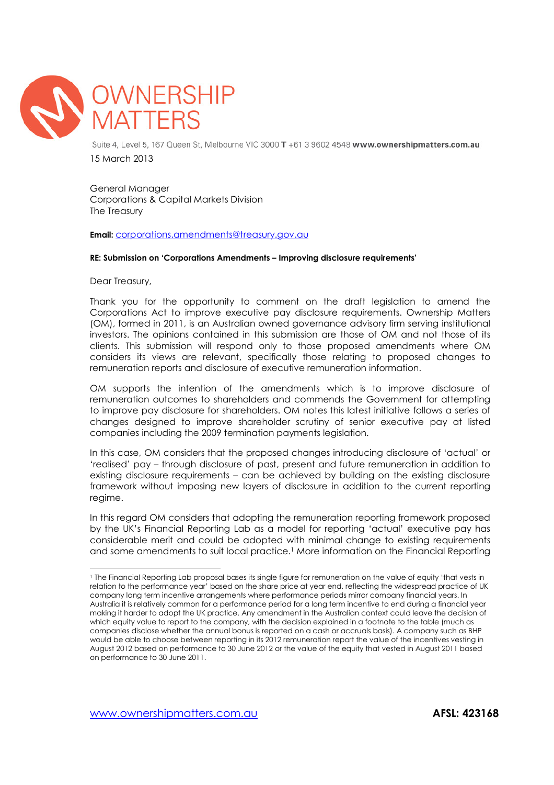

Suite 4, Level 5, 167 Queen St. Melbourne VIC 3000 T +61 3 9602 4548 www.ownershipmatters.com.au 15 March 2013

General Manager Corporations & Capital Markets Division The Treasury

Email: corporations.amendments@treasury.gov.au

## RE: Submission on 'Corporations Amendments – Improving disclosure requirements'

Dear Treasury,

 $\overline{a}$ 

Thank you for the opportunity to comment on the draft legislation to amend the Corporations Act to improve executive pay disclosure requirements. Ownership Matters (OM), formed in 2011, is an Australian owned governance advisory firm serving institutional investors. The opinions contained in this submission are those of OM and not those of its clients. This submission will respond only to those proposed amendments where OM considers its views are relevant, specifically those relating to proposed changes to remuneration reports and disclosure of executive remuneration information.

OM supports the intention of the amendments which is to improve disclosure of remuneration outcomes to shareholders and commends the Government for attempting to improve pay disclosure for shareholders. OM notes this latest initiative follows a series of changes designed to improve shareholder scrutiny of senior executive pay at listed companies including the 2009 termination payments legislation.

In this case, OM considers that the proposed changes introducing disclosure of 'actual' or 'realised' pay – through disclosure of past, present and future remuneration in addition to existing disclosure requirements – can be achieved by building on the existing disclosure framework without imposing new layers of disclosure in addition to the current reporting regime.

In this regard OM considers that adopting the remuneration reporting framework proposed by the UK's Financial Reporting Lab as a model for reporting 'actual' executive pay has considerable merit and could be adopted with minimal change to existing requirements and some amendments to suit local practice.1 More information on the Financial Reporting

<sup>1</sup> The Financial Reporting Lab proposal bases its single figure for remuneration on the value of equity 'that vests in relation to the performance year' based on the share price at year end, reflecting the widespread practice of UK company long term incentive arrangements where performance periods mirror company financial years. In Australia it is relatively common for a performance period for a long term incentive to end during a financial year making it harder to adopt the UK practice. Any amendment in the Australian context could leave the decision of which equity value to report to the company, with the decision explained in a footnote to the table (much as companies disclose whether the annual bonus is reported on a cash or accruals basis). A company such as BHP would be able to choose between reporting in its 2012 remuneration report the value of the incentives vesting in August 2012 based on performance to 30 June 2012 or the value of the equity that vested in August 2011 based on performance to 30 June 2011.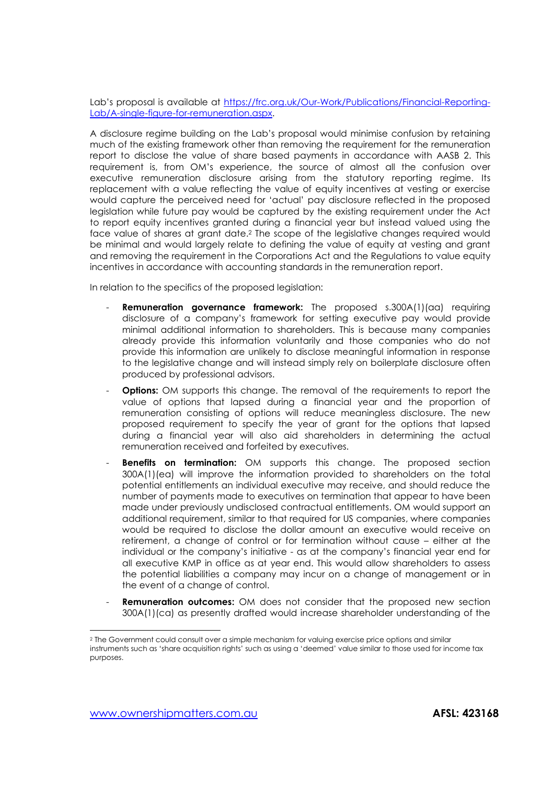Lab's proposal is available at https://frc.org.uk/Our-Work/Publications/Financial-Reporting-Lab/A-single-figure-for-remuneration.aspx.

A disclosure regime building on the Lab's proposal would minimise confusion by retaining much of the existing framework other than removing the requirement for the remuneration report to disclose the value of share based payments in accordance with AASB 2. This requirement is, from OM's experience, the source of almost all the confusion over executive remuneration disclosure arising from the statutory reporting regime. Its replacement with a value reflecting the value of equity incentives at vesting or exercise would capture the perceived need for 'actual' pay disclosure reflected in the proposed legislation while future pay would be captured by the existing requirement under the Act to report equity incentives granted during a financial year but instead valued using the face value of shares at grant date.2 The scope of the legislative changes required would be minimal and would largely relate to defining the value of equity at vesting and grant and removing the requirement in the Corporations Act and the Regulations to value equity incentives in accordance with accounting standards in the remuneration report.

In relation to the specifics of the proposed legislation:

- Remuneration governance framework: The proposed s.300A(1)(aa) requiring disclosure of a company's framework for setting executive pay would provide minimal additional information to shareholders. This is because many companies already provide this information voluntarily and those companies who do not provide this information are unlikely to disclose meaningful information in response to the legislative change and will instead simply rely on boilerplate disclosure often produced by professional advisors.
- **Options:** OM supports this change. The removal of the requirements to report the value of options that lapsed during a financial year and the proportion of remuneration consisting of options will reduce meaningless disclosure. The new proposed requirement to specify the year of grant for the options that lapsed during a financial year will also aid shareholders in determining the actual remuneration received and forfeited by executives.
- **Benefits on termination:** OM supports this change. The proposed section 300A(1)(ea) will improve the information provided to shareholders on the total potential entitlements an individual executive may receive, and should reduce the number of payments made to executives on termination that appear to have been made under previously undisclosed contractual entitlements. OM would support an additional requirement, similar to that required for US companies, where companies would be required to disclose the dollar amount an executive would receive on retirement, a change of control or for termination without cause – either at the individual or the company's initiative - as at the company's financial year end for all executive KMP in office as at year end. This would allow shareholders to assess the potential liabilities a company may incur on a change of management or in the event of a change of control.
- **Remuneration outcomes:** OM does not consider that the proposed new section 300A(1)(ca) as presently drafted would increase shareholder understanding of the

 $\overline{a}$ 

<sup>2</sup> The Government could consult over a simple mechanism for valuing exercise price options and similar instruments such as 'share acquisition rights' such as using a 'deemed' value similar to those used for income tax purposes.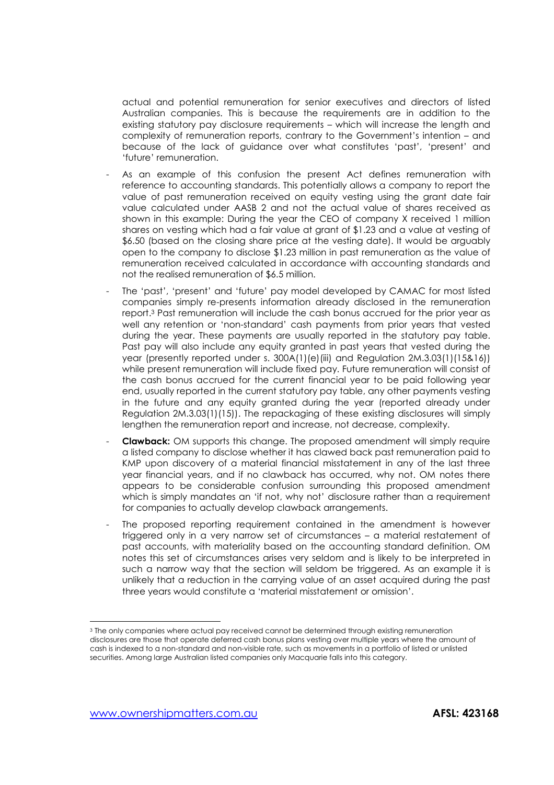actual and potential remuneration for senior executives and directors of listed Australian companies. This is because the requirements are in addition to the existing statutory pay disclosure requirements – which will increase the length and complexity of remuneration reports, contrary to the Government's intention – and because of the lack of guidance over what constitutes 'past', 'present' and 'future' remuneration.

- As an example of this confusion the present Act defines remuneration with reference to accounting standards. This potentially allows a company to report the value of past remuneration received on equity vesting using the grant date fair value calculated under AASB 2 and not the actual value of shares received as shown in this example: During the year the CEO of company X received 1 million shares on vesting which had a fair value at grant of \$1.23 and a value at vesting of \$6.50 (based on the closing share price at the vesting date). It would be arguably open to the company to disclose \$1.23 million in past remuneration as the value of remuneration received calculated in accordance with accounting standards and not the realised remuneration of \$6.5 million.
- The 'past', 'present' and 'future' pay model developed by CAMAC for most listed companies simply re-presents information already disclosed in the remuneration report.3 Past remuneration will include the cash bonus accrued for the prior year as well any retention or 'non-standard' cash payments from prior years that vested during the year. These payments are usually reported in the statutory pay table. Past pay will also include any equity granted in past years that vested during the year (presently reported under s. 300A(1)(e)(iii) and Regulation 2M.3.03(1)(15&16)) while present remuneration will include fixed pay. Future remuneration will consist of the cash bonus accrued for the current financial year to be paid following year end, usually reported in the current statutory pay table, any other payments vesting in the future and any equity granted during the year (reported already under Regulation 2M.3.03(1)(15)). The repackaging of these existing disclosures will simply lengthen the remuneration report and increase, not decrease, complexity.
- **Clawback:** OM supports this change. The proposed amendment will simply require a listed company to disclose whether it has clawed back past remuneration paid to KMP upon discovery of a material financial misstatement in any of the last three year financial years, and if no clawback has occurred, why not. OM notes there appears to be considerable confusion surrounding this proposed amendment which is simply mandates an 'if not, why not' disclosure rather than a requirement for companies to actually develop clawback arrangements.
- The proposed reporting requirement contained in the amendment is however triggered only in a very narrow set of circumstances – a material restatement of past accounts, with materiality based on the accounting standard definition. OM notes this set of circumstances arises very seldom and is likely to be interpreted in such a narrow way that the section will seldom be triggered. As an example it is unlikely that a reduction in the carrying value of an asset acquired during the past three years would constitute a 'material misstatement or omission'.

 $\overline{a}$ 

<sup>3</sup> The only companies where actual pay received cannot be determined through existing remuneration disclosures are those that operate deferred cash bonus plans vesting over multiple years where the amount of cash is indexed to a non-standard and non-visible rate, such as movements in a portfolio of listed or unlisted securities. Among large Australian listed companies only Macquarie falls into this category.